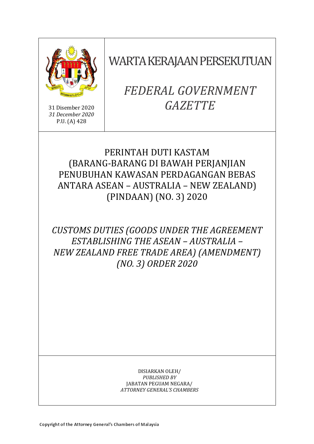

31 Disember 2020 *31 December 2020* P.U. (A) 428

WARTA KERAJAAN PERSEKUTUAN

# *FEDERAL GOVERNMENT GAZETTE*

# PERINTAH DUTI KASTAM (BARANG-BARANG DI BAWAH PERJANJIAN PENUBUHAN KAWASAN PERDAGANGAN BEBAS ANTARA ASEAN – AUSTRALIA – NEW ZEALAND) (PINDAAN) (NO. 3) 2020

*CUSTOMS DUTIES (GOODS UNDER THE AGREEMENT ESTABLISHING THE ASEAN – AUSTRALIA – NEW ZEALAND FREE TRADE AREA) (AMENDMENT) (NO. 3) ORDER 2020*

> DISIARKAN OLEH/ *PUBLISHED BY* JABATAN PEGUAM NEGARA/ *ATTORNEY GENERAL'S CHAMBERS*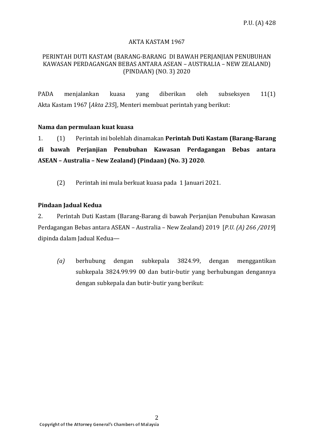### AKTA KASTAM 1967

#### PERINTAH DUTI KASTAM (BARANG-BARANG DI BAWAH PERJANJIAN PENUBUHAN KAWASAN PERDAGANGAN BEBAS ANTARA ASEAN – AUSTRALIA – NEW ZEALAND) (PINDAAN) (NO. 3) 2020

PADA menjalankan kuasa yang diberikan oleh subseksyen 11(1) Akta Kastam 1967 [*Akta 235*], Menteri membuat perintah yang berikut:

### **Nama dan permulaan kuat kuasa**

1. (1) Perintah ini bolehlah dinamakan **Perintah Duti Kastam (Barang-Barang di bawah Perjanjian Penubuhan Kawasan Perdagangan Bebas antara ASEAN – Australia – New Zealand) (Pindaan) (No. 3) 2020**.

(2) Perintah ini mula berkuat kuasa pada 1 Januari 2021.

### **Pindaan Jadual Kedua**

2. Perintah Duti Kastam (Barang-Barang di bawah Perjanjian Penubuhan Kawasan Perdagangan Bebas antara ASEAN – Australia – New Zealand) 2019 [*P.U. (A) 266 /2019*] dipinda dalam Jadual Kedua—

*(a)* berhubung dengan subkepala 3824.99, dengan menggantikan subkepala 3824.99.99 00 dan butir-butir yang berhubungan dengannya dengan subkepala dan butir-butir yang berikut: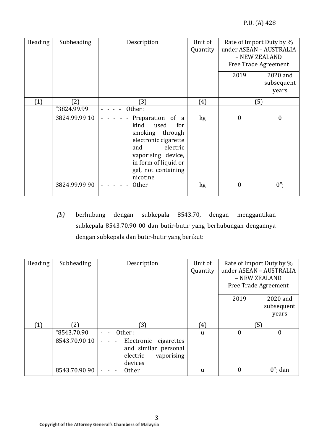| Heading | Subheading    | Description                                                                                                                                                                            | Unit of<br>Quantity | Rate of Import Duty by %<br>under ASEAN - AUSTRALIA<br>- NEW ZEALAND<br><b>Free Trade Agreement</b> |                                 |
|---------|---------------|----------------------------------------------------------------------------------------------------------------------------------------------------------------------------------------|---------------------|-----------------------------------------------------------------------------------------------------|---------------------------------|
|         |               |                                                                                                                                                                                        |                     | 2019                                                                                                | 2020 and<br>subsequent<br>years |
| (1)     | (2)           | (3)                                                                                                                                                                                    | (4)                 | (5)                                                                                                 |                                 |
|         | "3824.99.99   | Other:                                                                                                                                                                                 |                     |                                                                                                     |                                 |
|         | 3824.99.99 10 | Preparation of a<br>kind<br>used<br>for<br>smoking through<br>electronic cigarette<br>electric<br>and<br>vaporising device,<br>in form of liquid or<br>gel, not containing<br>nicotine | kg                  | $\boldsymbol{0}$                                                                                    | $\boldsymbol{0}$                |
|         | 3824.99.99 90 | <b>Other</b>                                                                                                                                                                           | kg                  | $\boldsymbol{0}$                                                                                    | $0$ ";                          |

*(b)* berhubung dengan subkepala 8543.70, dengan menggantikan subkepala 8543.70.90 00 dan butir-butir yang berhubungan dengannya dengan subkepala dan butir-butir yang berikut:

| Heading | Subheading    | Description                                                                           | Unit of<br>Quantity | Rate of Import Duty by %<br>under ASEAN - AUSTRALIA<br>- NEW ZEALAND<br>Free Trade Agreement |                        |
|---------|---------------|---------------------------------------------------------------------------------------|---------------------|----------------------------------------------------------------------------------------------|------------------------|
|         |               |                                                                                       |                     | 2019                                                                                         | 2020 and<br>subsequent |
|         |               |                                                                                       |                     |                                                                                              | years                  |
| (1)     | 2)            | 3)                                                                                    | (4)                 | (5)                                                                                          |                        |
|         | "8543.70.90   | Other:                                                                                | <sub>u</sub>        | $\boldsymbol{0}$                                                                             | 0                      |
|         | 8543.70.90 10 | Electronic<br>cigarettes<br>and similar personal<br>electric<br>vaporising<br>devices |                     |                                                                                              |                        |
|         | 8543.70.90 90 | <b>Other</b>                                                                          | u                   | $\boldsymbol{0}$                                                                             | $0$ "; dan             |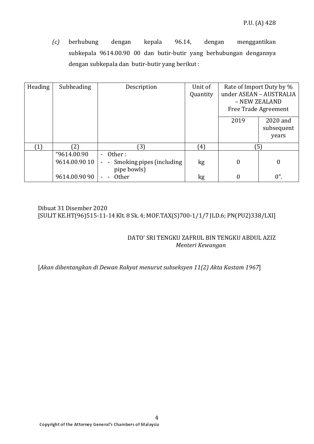*(c)* berhubung dengan kepala 96.14, dengan menggantikan subkepala 9614.00.90 00 dan butir-butir yang berhubungan dengannya dengan subkepala dan butir-butir yang berikut :

| Heading | Subheading                   | Description                                                                                      | Unit of<br>Quantity | Rate of Import Duty by %<br>under ASEAN - AUSTRALIA<br>- NEW ZEALAND<br>Free Trade Agreement |                                 |
|---------|------------------------------|--------------------------------------------------------------------------------------------------|---------------------|----------------------------------------------------------------------------------------------|---------------------------------|
|         |                              |                                                                                                  |                     | 2019                                                                                         | 2020 and<br>subsequent<br>years |
|         | 21                           | $\left(3\right)$                                                                                 | $^{\mathsf{f}}4)$   | (5)                                                                                          |                                 |
|         | "9614.00.90<br>9614.00.90 10 | Other:<br>$\blacksquare$<br>Smoking pipes (including)<br>$\overline{\phantom{a}}$<br>pipe bowls) | kg                  | $\boldsymbol{0}$                                                                             | $\boldsymbol{0}$                |
|         | 9614.00.90 90                | <b>Other</b>                                                                                     | kg                  | $\overline{0}$                                                                               | $0$ ".                          |

# Dibuat 31 Disember 2020 [SULIT KE.HT(96)515-11-14 Klt. 8 Sk. 4; MOF.TAX(S)700-1/1/7 JLD.6; PN(PU2)338/LXI]

## DATO' SRI TENGKU ZAFRUL BIN TENGKU ABDUL AZIZ *Menteri Kewangan*

# [*Akan dibentangkan di Dewan Rakyat menurut subseksyen 11(2) Akta Kastam 1967*]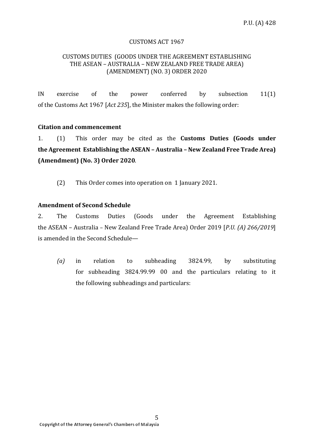#### CUSTOMS ACT 1967

#### CUSTOMS DUTIES (GOODS UNDER THE AGREEMENT ESTABLISHING THE ASEAN – AUSTRALIA – NEW ZEALAND FREE TRADE AREA) (AMENDMENT) (NO. 3) ORDER 2020

IN exercise of the power conferred by subsection 11(1) of the Customs Act 1967 [*Act 235*], the Minister makes the following order:

#### **Citation and commencement**

1. (1) This order may be cited as the **Customs Duties (Goods under the Agreement Establishing the ASEAN – Australia – New Zealand Free Trade Area) (Amendment) (No. 3) Order 2020**.

(2) This Order comes into operation on 1 January 2021.

### **Amendment of Second Schedule**

2. The Customs Duties (Goods under the Agreement Establishing the ASEAN – Australia – New Zealand Free Trade Area) Order 2019 [*P.U. (A) 266/2019*] is amended in the Second Schedule—

*(a)* in relation to subheading 3824.99, by substituting for subheading 3824.99.99 00 and the particulars relating to it the following subheadings and particulars: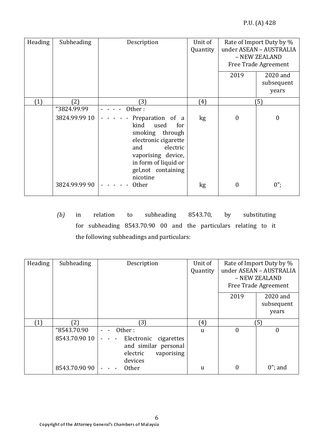| Heading | Subheading    | Description                                                                                                                                                                            | Unit of<br>Quantity | Rate of Import Duty by %<br>under ASEAN - AUSTRALIA<br>- NEW ZEALAND<br>Free Trade Agreement |                                 |
|---------|---------------|----------------------------------------------------------------------------------------------------------------------------------------------------------------------------------------|---------------------|----------------------------------------------------------------------------------------------|---------------------------------|
|         |               |                                                                                                                                                                                        |                     | 2019                                                                                         | 2020 and<br>subsequent<br>years |
| (1)     | (2)           | (3)                                                                                                                                                                                    | (4)                 |                                                                                              | (5)                             |
|         | "3824.99.99   | Other:                                                                                                                                                                                 |                     |                                                                                              |                                 |
|         | 3824.99.99 10 | Preparation of a<br>kind<br>used<br>for<br>smoking through<br>electronic cigarette<br>electric<br>and<br>vaporising device,<br>in form of liquid or<br>gel, not containing<br>nicotine | kg                  | $\boldsymbol{0}$                                                                             | $\boldsymbol{0}$                |
|         | 3824.99.99 90 | <b>Other</b>                                                                                                                                                                           | kg                  | $\boldsymbol{0}$                                                                             | $0$ ";                          |

*(b)* in relation to subheading 8543.70, by substituting for subheading 8543.70.90 00 and the particulars relating to it the following subheadings and particulars:

| Heading          | Subheading    | Description                                                                           | Unit of<br>Quantity | Rate of Import Duty by %<br>under ASEAN - AUSTRALIA<br>- NEW ZEALAND<br>Free Trade Agreement |                        |
|------------------|---------------|---------------------------------------------------------------------------------------|---------------------|----------------------------------------------------------------------------------------------|------------------------|
|                  |               |                                                                                       |                     | 2019                                                                                         | 2020 and<br>subsequent |
|                  |               |                                                                                       |                     |                                                                                              | years                  |
| $\left(1\right)$ | [2]           | 3)                                                                                    | (4)                 |                                                                                              | (5)                    |
|                  | "8543.70.90   | Other:                                                                                | $\mathbf{u}$        | $\theta$                                                                                     | $\theta$               |
|                  | 8543.70.90 10 | Electronic<br>cigarettes<br>and similar personal<br>vaporising<br>electric<br>devices |                     |                                                                                              |                        |
|                  | 8543.70.90 90 | <b>Other</b>                                                                          | u                   | 0                                                                                            | $0$ "; and             |